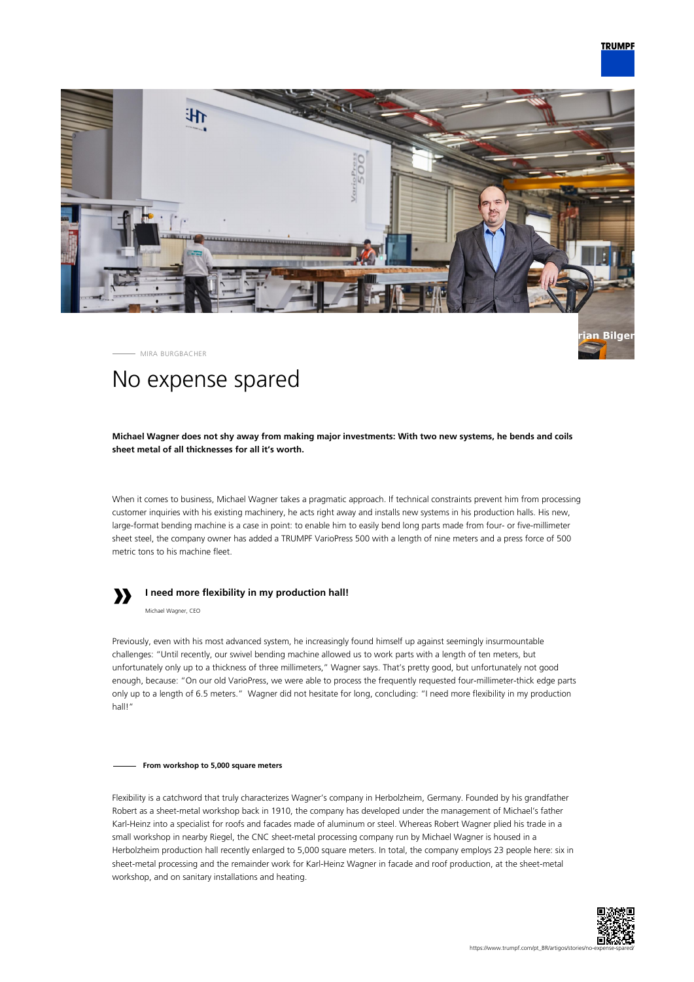

MIRA BURGBACHER

# No expense spared

**Michael Wagner does not shy away from making major investments: With two new systems, he bends and coils sheet metal of all thicknesses for all it's worth.**

When it comes to business, Michael Wagner takes a pragmatic approach. If technical constraints prevent him from processing customer inquiries with his existing machinery, he acts right away and installs new systems in his production halls. His new, large-format bending machine is a case in point: to enable him to easily bend long parts made from four- or five-millimeter sheet steel, the company owner has added a TRUMPF VarioPress 500 with a length of nine meters and a press force of 500 metric tons to his machine fleet.



# **I need more flexibility in my production hall!**

Michael Wagner, CEO

Previously, even with his most advanced system, he increasingly found himself up against seemingly insurmountable challenges: "Until recently, our swivel bending machine allowed us to work parts with a length of ten meters, but unfortunately only up to a thickness of three millimeters," Wagner says. That's pretty good, but unfortunately not good enough, because: "On our old VarioPress, we were able to process the frequently requested four-millimeter-thick edge parts only up to a length of 6.5 meters." Wagner did not hesitate for long, concluding: "I need more flexibility in my production hall!"

#### **From workshop to 5,000 square meters**

Flexibility is a catchword that truly characterizes Wagner's company in Herbolzheim, Germany. Founded by his grandfather Robert as a sheet-metal workshop back in 1910, the company has developed under the management of Michael's father Karl-Heinz into a specialist for roofs and facades made of aluminum or steel. Whereas Robert Wagner plied his trade in a small workshop in nearby Riegel, the CNC sheet-metal processing company run by Michael Wagner is housed in a Herbolzheim production hall recently enlarged to 5,000 square meters. In total, the company employs 23 people here: six in sheet-metal processing and the remainder work for Karl-Heinz Wagner in facade and roof production, at the sheet-metal workshop, and on sanitary installations and heating.

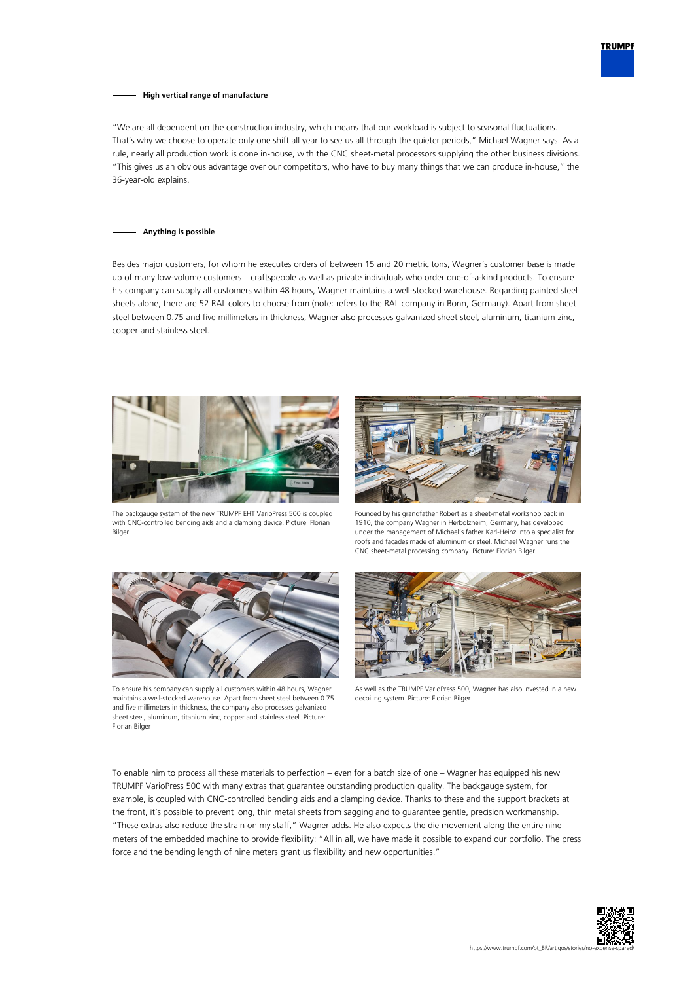

## **High vertical range of manufacture**

"We are all dependent on the construction industry, which means that our workload is subject to seasonal fluctuations. That's why we choose to operate only one shift all year to see us all through the quieter periods," Michael Wagner says. As a rule, nearly all production work is done in-house, with the CNC sheet-metal processors supplying the other business divisions. "This gives us an obvious advantage over our competitors, who have to buy many things that we can produce in-house," the 36-year-old explains.

### **Anything is possible**

Besides major customers, for whom he executes orders of between 15 and 20 metric tons, Wagner's customer base is made up of many low-volume customers – craftspeople as well as private individuals who order one-of-a-kind products. To ensure his company can supply all customers within 48 hours, Wagner maintains a well-stocked warehouse. Regarding painted steel sheets alone, there are 52 RAL colors to choose from (note: refers to the RAL company in Bonn, Germany). Apart from sheet steel between 0.75 and five millimeters in thickness, Wagner also processes galvanized sheet steel, aluminum, titanium zinc, copper and stainless steel.





The backgauge system of the new TRUMPF EHT VarioPress 500 is coupled with CNC-controlled bending aids and a clamping device. Picture: Florian Bilger

Founded by his grandfather Robert as a sheet-metal workshop back in 1910, the company Wagner in Herbolzheim, Germany, has developed under the management of Michael's father Karl-Heinz into a specialist for roofs and facades made of aluminum or steel. Michael Wagner runs the CNC sheet-metal processing company. Picture: Florian Bilger



To ensure his company can supply all customers within 48 hours, Wagner maintains a well-stocked warehouse. Apart from sheet steel between 0.75 and five millimeters in thickness, the company also processes galvanized sheet steel, aluminum, titanium zinc, copper and stainless steel. Picture: Florian Bilger



As well as the TRUMPF VarioPress 500, Wagner has also invested in a new decoiling system. Picture: Florian Bilger

To enable him to process all these materials to perfection – even for a batch size of one – Wagner has equipped his new TRUMPF VarioPress 500 with many extras that guarantee outstanding production quality. The backgauge system, for example, is coupled with CNC-controlled bending aids and a clamping device. Thanks to these and the support brackets at the front, it's possible to prevent long, thin metal sheets from sagging and to guarantee gentle, precision workmanship. "These extras also reduce the strain on my staff," Wagner adds. He also expects the die movement along the entire nine meters of the embedded machine to provide flexibility: "All in all, we have made it possible to expand our portfolio. The press force and the bending length of nine meters grant us flexibility and new opportunities."